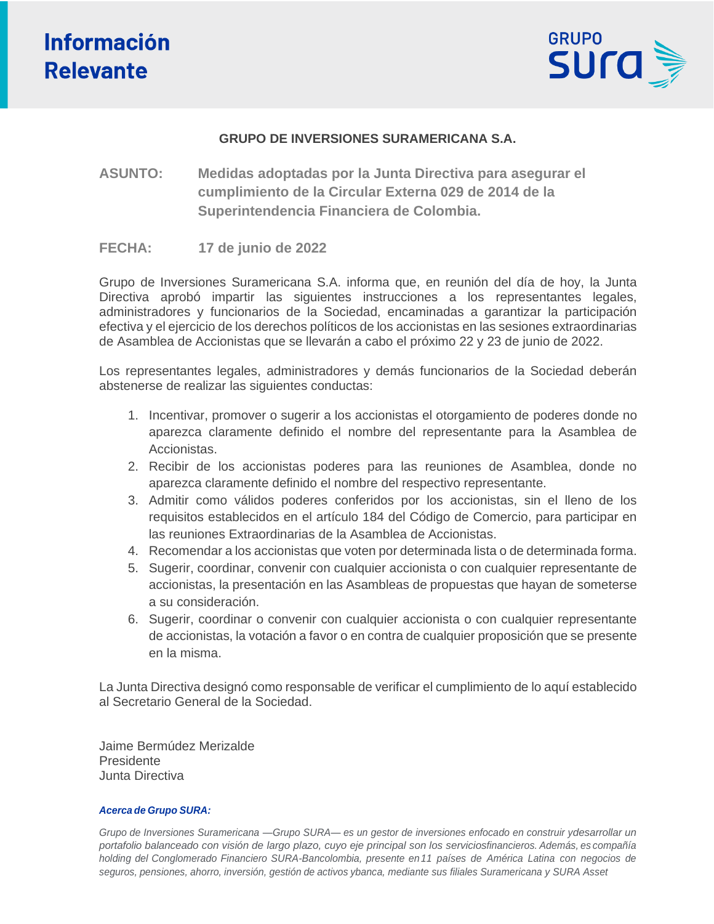

## **GRUPO DE INVERSIONES SURAMERICANA S.A.**

**ASUNTO: Medidas adoptadas por la Junta Directiva para asegurar el cumplimiento de la Circular Externa 029 de 2014 de la Superintendencia Financiera de Colombia.**

#### **FECHA: 17 de junio de 2022**

Grupo de Inversiones Suramericana S.A. informa que, en reunión del día de hoy, la Junta Directiva aprobó impartir las siguientes instrucciones a los representantes legales, administradores y funcionarios de la Sociedad, encaminadas a garantizar la participación efectiva y el ejercicio de los derechos políticos de los accionistas en las sesiones extraordinarias de Asamblea de Accionistas que se llevarán a cabo el próximo 22 y 23 de junio de 2022.

Los representantes legales, administradores y demás funcionarios de la Sociedad deberán abstenerse de realizar las siguientes conductas:

- 1. Incentivar, promover o sugerir a los accionistas el otorgamiento de poderes donde no aparezca claramente definido el nombre del representante para la Asamblea de Accionistas.
- 2. Recibir de los accionistas poderes para las reuniones de Asamblea, donde no aparezca claramente definido el nombre del respectivo representante.
- 3. Admitir como válidos poderes conferidos por los accionistas, sin el lleno de los requisitos establecidos en el artículo 184 del Código de Comercio, para participar en las reuniones Extraordinarias de la Asamblea de Accionistas.
- 4. Recomendar a los accionistas que voten por determinada lista o de determinada forma.
- 5. Sugerir, coordinar, convenir con cualquier accionista o con cualquier representante de accionistas, la presentación en las Asambleas de propuestas que hayan de someterse a su consideración.
- 6. Sugerir, coordinar o convenir con cualquier accionista o con cualquier representante de accionistas, la votación a favor o en contra de cualquier proposición que se presente en la misma.

La Junta Directiva designó como responsable de verificar el cumplimiento de lo aquí establecido al Secretario General de la Sociedad.

Jaime Bermúdez Merizalde Presidente Junta Directiva

#### *Acerca de Grupo SURA:*

*Grupo de Inversiones Suramericana —Grupo SURA— es un gestor de inversiones enfocado en construir ydesarrollar un* portafolio balanceado con visión de largo plazo, cuyo eje principal son los serviciosfinancieros. Además, es compañía *holding del Conglomerado Financiero SURA-Bancolombia, presente en 11 países de América Latina con negocios de seguros, pensiones, ahorro, inversión, gestión de activos ybanca, mediante sus filiales Suramericana y SURA Asset*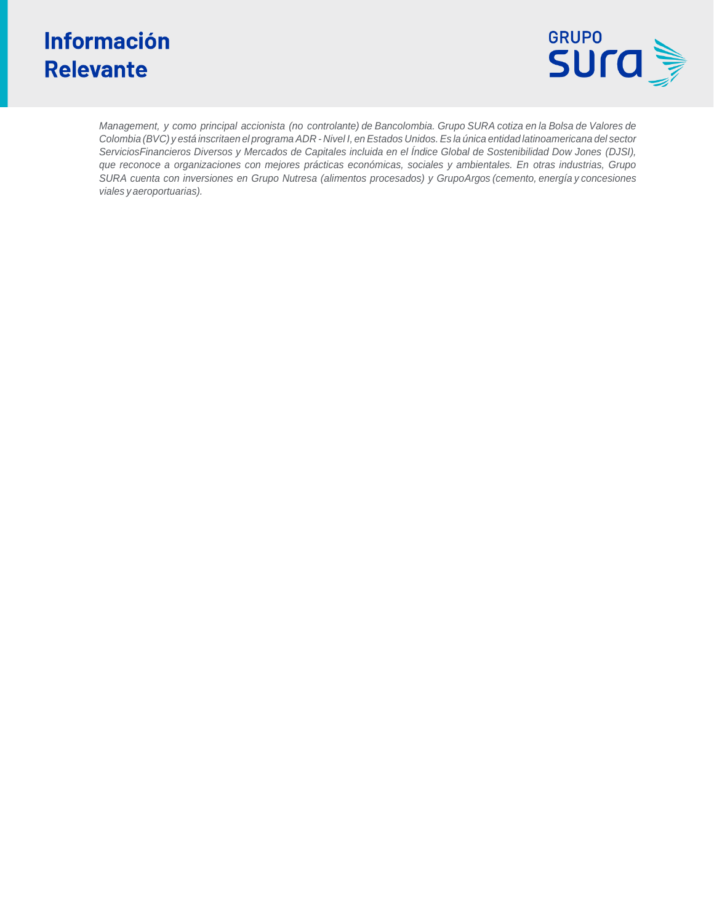# **Información Relevante**



*Management, y como principal accionista (no controlante) de Bancolombia. Grupo SURA cotiza en la Bolsa de Valores de* Colombia (BVC) y está inscritaen el programa ADR - Nivel I, en Estados Unidos. Es la única entidad latinoamericana del sector *ServiciosFinancieros Diversos y Mercados de Capitales incluida en el Índice Global de Sostenibilidad Dow Jones (DJSI), que reconoce a organizaciones con mejores prácticas económicas, sociales y ambientales. En otras industrias, Grupo SURA cuenta con inversiones en Grupo Nutresa (alimentos procesados) y GrupoArgos (cemento, energía y concesiones viales y aeroportuarias).*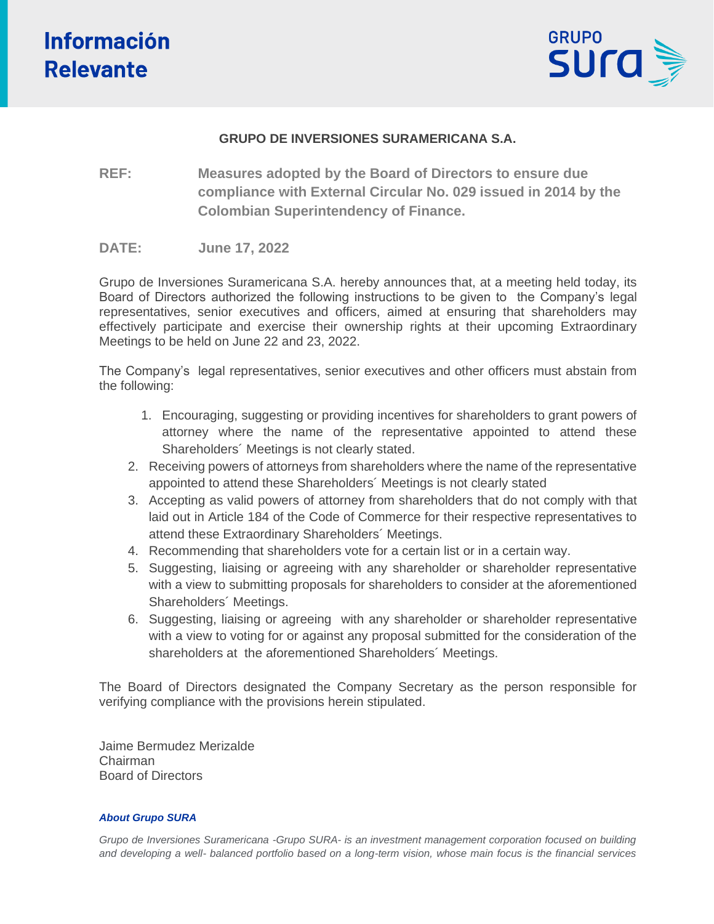

## **GRUPO DE INVERSIONES SURAMERICANA S.A.**

**REF: Measures adopted by the Board of Directors to ensure due compliance with External Circular No. 029 issued in 2014 by the Colombian Superintendency of Finance.**

## **DATE: June 17, 2022**

Grupo de Inversiones Suramericana S.A. hereby announces that, at a meeting held today, its Board of Directors authorized the following instructions to be given to the Company's legal representatives, senior executives and officers, aimed at ensuring that shareholders may effectively participate and exercise their ownership rights at their upcoming Extraordinary Meetings to be held on June 22 and 23, 2022.

The Company's legal representatives, senior executives and other officers must abstain from the following:

- 1. Encouraging, suggesting or providing incentives for shareholders to grant powers of attorney where the name of the representative appointed to attend these Shareholders´ Meetings is not clearly stated.
- 2. Receiving powers of attorneys from shareholders where the name of the representative appointed to attend these Shareholders´ Meetings is not clearly stated
- 3. Accepting as valid powers of attorney from shareholders that do not comply with that laid out in Article 184 of the Code of Commerce for their respective representatives to attend these Extraordinary Shareholders´ Meetings.
- 4. Recommending that shareholders vote for a certain list or in a certain way.
- 5. Suggesting, liaising or agreeing with any shareholder or shareholder representative with a view to submitting proposals for shareholders to consider at the aforementioned Shareholders´ Meetings.
- 6. Suggesting, liaising or agreeing with any shareholder or shareholder representative with a view to voting for or against any proposal submitted for the consideration of the shareholders at the aforementioned Shareholders´ Meetings.

The Board of Directors designated the Company Secretary as the person responsible for verifying compliance with the provisions herein stipulated.

Jaime Bermudez Merizalde Chairman Board of Directors

#### *About Grupo SURA*

*Grupo de Inversiones Suramericana -Grupo SURA- is an investment management corporation focused on building and developing a well- balanced portfolio based on a long-term vision, whose main focus is the financial services*